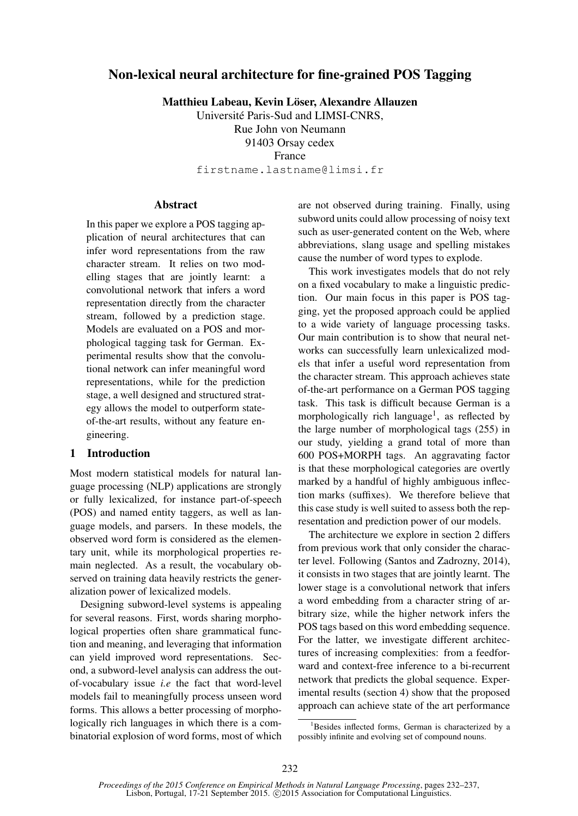# Non-lexical neural architecture for fine-grained POS Tagging

Matthieu Labeau, Kevin Löser, Alexandre Allauzen

Universite Paris-Sud and LIMSI-CNRS, ´ Rue John von Neumann 91403 Orsay cedex France

firstname.lastname@limsi.fr

# **Abstract**

In this paper we explore a POS tagging application of neural architectures that can infer word representations from the raw character stream. It relies on two modelling stages that are jointly learnt: a convolutional network that infers a word representation directly from the character stream, followed by a prediction stage. Models are evaluated on a POS and morphological tagging task for German. Experimental results show that the convolutional network can infer meaningful word representations, while for the prediction stage, a well designed and structured strategy allows the model to outperform stateof-the-art results, without any feature engineering.

# 1 Introduction

Most modern statistical models for natural language processing (NLP) applications are strongly or fully lexicalized, for instance part-of-speech (POS) and named entity taggers, as well as language models, and parsers. In these models, the observed word form is considered as the elementary unit, while its morphological properties remain neglected. As a result, the vocabulary observed on training data heavily restricts the generalization power of lexicalized models.

Designing subword-level systems is appealing for several reasons. First, words sharing morphological properties often share grammatical function and meaning, and leveraging that information can yield improved word representations. Second, a subword-level analysis can address the outof-vocabulary issue *i.e* the fact that word-level models fail to meaningfully process unseen word forms. This allows a better processing of morphologically rich languages in which there is a combinatorial explosion of word forms, most of which are not observed during training. Finally, using subword units could allow processing of noisy text such as user-generated content on the Web, where abbreviations, slang usage and spelling mistakes cause the number of word types to explode.

This work investigates models that do not rely on a fixed vocabulary to make a linguistic prediction. Our main focus in this paper is POS tagging, yet the proposed approach could be applied to a wide variety of language processing tasks. Our main contribution is to show that neural networks can successfully learn unlexicalized models that infer a useful word representation from the character stream. This approach achieves state of-the-art performance on a German POS tagging task. This task is difficult because German is a morphologically rich language<sup>1</sup>, as reflected by the large number of morphological tags (255) in our study, yielding a grand total of more than 600 POS+MORPH tags. An aggravating factor is that these morphological categories are overtly marked by a handful of highly ambiguous inflection marks (suffixes). We therefore believe that this case study is well suited to assess both the representation and prediction power of our models.

The architecture we explore in section 2 differs from previous work that only consider the character level. Following (Santos and Zadrozny, 2014), it consists in two stages that are jointly learnt. The lower stage is a convolutional network that infers a word embedding from a character string of arbitrary size, while the higher network infers the POS tags based on this word embedding sequence. For the latter, we investigate different architectures of increasing complexities: from a feedforward and context-free inference to a bi-recurrent network that predicts the global sequence. Experimental results (section 4) show that the proposed approach can achieve state of the art performance

<sup>&</sup>lt;sup>1</sup>Besides inflected forms, German is characterized by a possibly infinite and evolving set of compound nouns.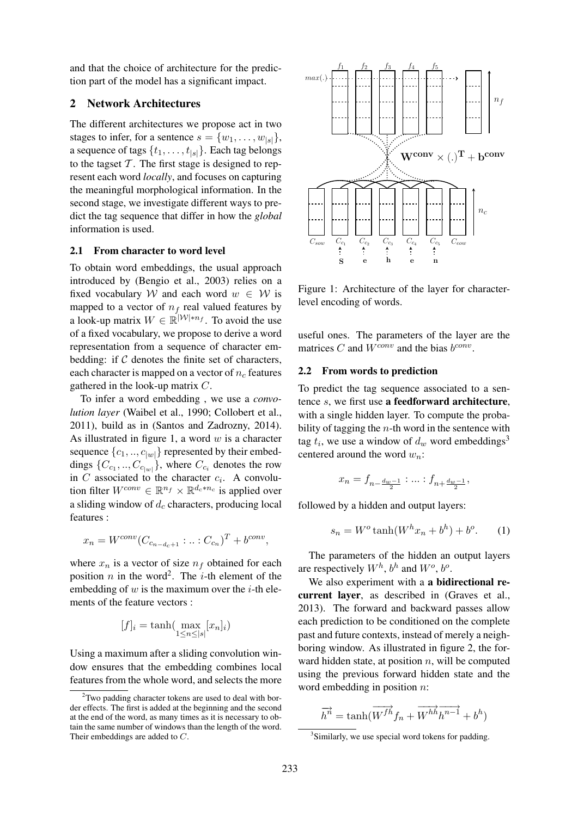and that the choice of architecture for the prediction part of the model has a significant impact.

# 2 Network Architectures

The different architectures we propose act in two stages to infer, for a sentence  $s = \{w_1, \ldots, w_{|s|}\},\$ a sequence of tags  $\{t_1, \ldots, t_{|s|}\}\$ . Each tag belongs to the tagset  $T$ . The first stage is designed to represent each word *locally*, and focuses on capturing the meaningful morphological information. In the second stage, we investigate different ways to predict the tag sequence that differ in how the *global* information is used.

## 2.1 From character to word level

To obtain word embeddings, the usual approach introduced by (Bengio et al., 2003) relies on a fixed vocabulary W and each word  $w \in W$  is mapped to a vector of  $n_f$  real valued features by a look-up matrix  $W \in \mathbb{R}^{|\mathcal{W}| \times n_f}$ . To avoid the use of a fixed vocabulary, we propose to derive a word representation from a sequence of character embedding: if  $C$  denotes the finite set of characters, each character is mapped on a vector of  $n_c$  features gathered in the look-up matrix C.

To infer a word embedding , we use a *convolution layer* (Waibel et al., 1990; Collobert et al., 2011), build as in (Santos and Zadrozny, 2014). As illustrated in figure 1, a word  $w$  is a character sequence  $\{c_1, ..., c_{|w|}\}$  represented by their embeddings  $\{C_{c_1}, ..., C_{c_{|w|}}\}$ , where  $C_{c_i}$  denotes the row in C associated to the character  $c_i$ . A convolution filter  $W^{conv} \in \mathbb{R}^{n_f} \times \mathbb{R}^{d_c*n_c}$  is applied over a sliding window of  $d_c$  characters, producing local features :

$$
x_n = W^{conv}(C_{c_{n-d_c+1}}:...:C_{c_n})^T + b^{conv},
$$

where  $x_n$  is a vector of size  $n_f$  obtained for each position *n* in the word<sup>2</sup>. The *i*-th element of the embedding of  $w$  is the maximum over the *i*-th elements of the feature vectors :

$$
[f]_i = \tanh(\max_{1 \le n \le |s|} [x_n]_i)
$$

Using a maximum after a sliding convolution window ensures that the embedding combines local features from the whole word, and selects the more



Figure 1: Architecture of the layer for characterlevel encoding of words.

useful ones. The parameters of the layer are the matrices C and  $W^{conv}$  and the bias  $b^{conv}$ .

#### 2.2 From words to prediction

To predict the tag sequence associated to a sentence s, we first use a feedforward architecture, with a single hidden layer. To compute the probability of tagging the  $n$ -th word in the sentence with tag  $t_i$ , we use a window of  $d_w$  word embeddings<sup>3</sup> centered around the word  $w_n$ :

$$
x_n = f_{n - \frac{d_w - 1}{2}} : \dots : f_{n + \frac{d_w - 1}{2}},
$$

followed by a hidden and output layers:

$$
s_n = W^o \tanh(W^h x_n + b^h) + b^o. \tag{1}
$$

The parameters of the hidden an output layers are respectively  $W^h$ ,  $b^h$  and  $W^o$ ,  $b^o$ .

We also experiment with a **a bidirectional re**current layer, as described in (Graves et al., 2013). The forward and backward passes allow each prediction to be conditioned on the complete past and future contexts, instead of merely a neighboring window. As illustrated in figure 2, the forward hidden state, at position  $n$ , will be computed using the previous forward hidden state and the word embedding in position n:

$$
\overrightarrow{h}^n = \tanh(\overrightarrow{W^{fh}}f_n + \overrightarrow{W^{hh}}\overrightarrow{h^{n-1}} + b^h)
$$

 $2$ Two padding character tokens are used to deal with border effects. The first is added at the beginning and the second at the end of the word, as many times as it is necessary to obtain the same number of windows than the length of the word. Their embeddings are added to C.

<sup>&</sup>lt;sup>3</sup>Similarly, we use special word tokens for padding.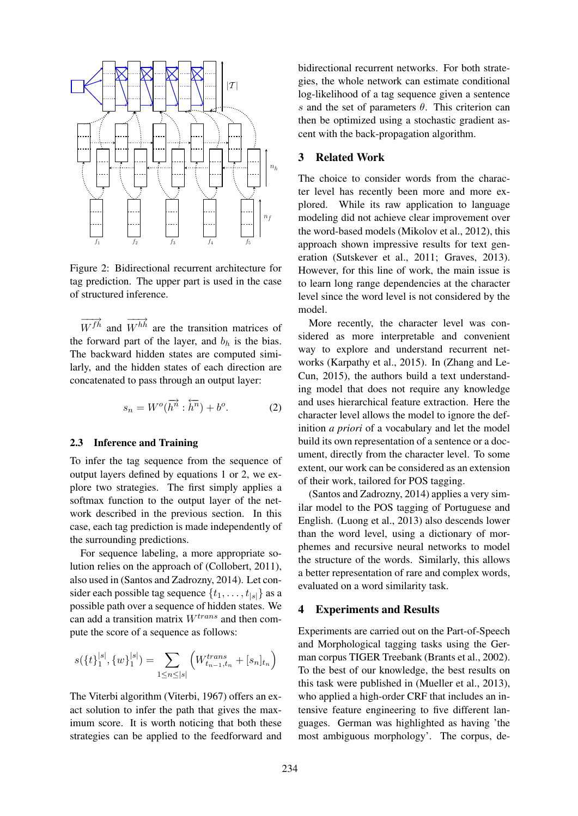

Figure 2: Bidirectional recurrent architecture for tag prediction. The upper part is used in the case of structured inference.

 $\overrightarrow{W^{fh}}$  and  $\overrightarrow{W^{hh}}$  are the transition matrices of the forward part of the layer, and  $b<sub>h</sub>$  is the bias. The backward hidden states are computed similarly, and the hidden states of each direction are concatenated to pass through an output layer:

$$
s_n = W^o(\overrightarrow{h^n} : \overleftarrow{h^n}) + b^o.
$$
 (2)

#### 2.3 Inference and Training

To infer the tag sequence from the sequence of output layers defined by equations 1 or 2, we explore two strategies. The first simply applies a softmax function to the output layer of the network described in the previous section. In this case, each tag prediction is made independently of the surrounding predictions.

For sequence labeling, a more appropriate solution relies on the approach of (Collobert, 2011), also used in (Santos and Zadrozny, 2014). Let consider each possible tag sequence  $\{t_1, \ldots, t_{|s|}\}$  as a possible path over a sequence of hidden states. We can add a transition matrix  $W^{trans}$  and then compute the score of a sequence as follows:

$$
s(\{t\}_1^{|s|}, \{w\}_1^{|s|}) = \sum_{1 \le n \le |s|} \left( W_{t_{n-1}, t_n}^{trans} + [s_n]_{t_n} \right)
$$

The Viterbi algorithm (Viterbi, 1967) offers an exact solution to infer the path that gives the maximum score. It is worth noticing that both these strategies can be applied to the feedforward and bidirectional recurrent networks. For both strategies, the whole network can estimate conditional log-likelihood of a tag sequence given a sentence s and the set of parameters  $\theta$ . This criterion can then be optimized using a stochastic gradient ascent with the back-propagation algorithm.

# 3 Related Work

The choice to consider words from the character level has recently been more and more explored. While its raw application to language modeling did not achieve clear improvement over the word-based models (Mikolov et al., 2012), this approach shown impressive results for text generation (Sutskever et al., 2011; Graves, 2013). However, for this line of work, the main issue is to learn long range dependencies at the character level since the word level is not considered by the model.

More recently, the character level was considered as more interpretable and convenient way to explore and understand recurrent networks (Karpathy et al., 2015). In (Zhang and Le-Cun, 2015), the authors build a text understanding model that does not require any knowledge and uses hierarchical feature extraction. Here the character level allows the model to ignore the definition *a priori* of a vocabulary and let the model build its own representation of a sentence or a document, directly from the character level. To some extent, our work can be considered as an extension of their work, tailored for POS tagging.

(Santos and Zadrozny, 2014) applies a very similar model to the POS tagging of Portuguese and English. (Luong et al., 2013) also descends lower than the word level, using a dictionary of morphemes and recursive neural networks to model the structure of the words. Similarly, this allows a better representation of rare and complex words, evaluated on a word similarity task.

#### 4 Experiments and Results

Experiments are carried out on the Part-of-Speech and Morphological tagging tasks using the German corpus TIGER Treebank (Brants et al., 2002). To the best of our knowledge, the best results on this task were published in (Mueller et al., 2013), who applied a high-order CRF that includes an intensive feature engineering to five different languages. German was highlighted as having 'the most ambiguous morphology'. The corpus, de-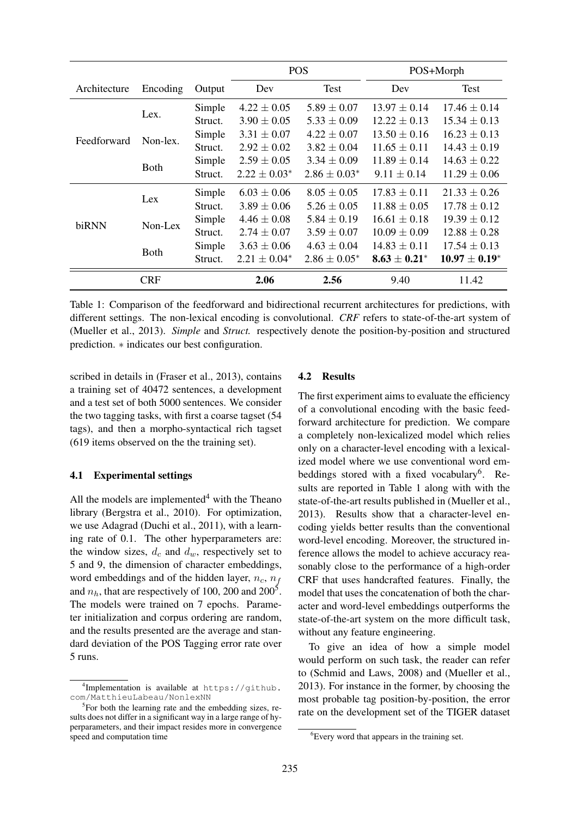|              |             |         | <b>POS</b>        |                   | POS+Morph         |                    |
|--------------|-------------|---------|-------------------|-------------------|-------------------|--------------------|
| Architecture | Encoding    | Output  | Dev               | Test              | Dev               | Test               |
| Feedforward  | Lex.        | Simple  | $4.22 \pm 0.05$   | $5.89 \pm 0.07$   | $13.97 \pm 0.14$  | $17.46 \pm 0.14$   |
|              |             | Struct. | $3.90 \pm 0.05$   | $5.33 \pm 0.09$   | $12.22 \pm 0.13$  | $15.34 \pm 0.13$   |
|              | Non-lex.    | Simple  | $3.31 \pm 0.07$   | $4.22 \pm 0.07$   | $13.50 \pm 0.16$  | $16.23 \pm 0.13$   |
|              |             | Struct. | $2.92 \pm 0.02$   | $3.82 \pm 0.04$   | $11.65 \pm 0.11$  | $14.43 \pm 0.19$   |
|              | <b>Both</b> | Simple  | $2.59 \pm 0.05$   | $3.34 \pm 0.09$   | $11.89 \pm 0.14$  | $14.63 \pm 0.22$   |
|              |             | Struct. | $2.22 \pm 0.03^*$ | $2.86 \pm 0.03^*$ | $9.11 \pm 0.14$   | $11.29 \pm 0.06$   |
| biRNN        | Lex         | Simple  | $6.03 \pm 0.06$   | $8.05 \pm 0.05$   | $17.83 \pm 0.11$  | $21.33 \pm 0.26$   |
|              |             | Struct. | $3.89 \pm 0.06$   | $5.26 \pm 0.05$   | $11.88 \pm 0.05$  | $17.78 \pm 0.12$   |
|              | Non-Lex     | Simple  | $4.46 \pm 0.08$   | $5.84 \pm 0.19$   | $16.61 \pm 0.18$  | $19.39 \pm 0.12$   |
|              |             | Struct. | $2.74 \pm 0.07$   | $3.59 \pm 0.07$   | $10.09 \pm 0.09$  | $12.88 \pm 0.28$   |
|              | <b>Both</b> | Simple  | $3.63 \pm 0.06$   | $4.63 \pm 0.04$   | $14.83 \pm 0.11$  | $17.54 \pm 0.13$   |
|              |             | Struct. | $2.21 \pm 0.04^*$ | $2.86 \pm 0.05^*$ | $8.63 \pm 0.21^*$ | $10.97 \pm 0.19^*$ |
|              | <b>CRF</b>  |         | 2.06              | 2.56              | 9.40              | 11.42              |

Table 1: Comparison of the feedforward and bidirectional recurrent architectures for predictions, with different settings. The non-lexical encoding is convolutional. *CRF* refers to state-of-the-art system of (Mueller et al., 2013). *Simple* and *Struct.* respectively denote the position-by-position and structured prediction. ∗ indicates our best configuration.

scribed in details in (Fraser et al., 2013), contains a training set of 40472 sentences, a development and a test set of both 5000 sentences. We consider the two tagging tasks, with first a coarse tagset (54 tags), and then a morpho-syntactical rich tagset (619 items observed on the the training set).

#### 4.1 Experimental settings

All the models are implemented $4$  with the Theano library (Bergstra et al., 2010). For optimization, we use Adagrad (Duchi et al., 2011), with a learning rate of 0.1. The other hyperparameters are: the window sizes,  $d_c$  and  $d_w$ , respectively set to 5 and 9, the dimension of character embeddings, word embeddings and of the hidden layer,  $n_c$ ,  $n_f$ and  $n_h$ , that are respectively of 100, 200 and 200<sup>5</sup>. The models were trained on 7 epochs. Parameter initialization and corpus ordering are random, and the results presented are the average and standard deviation of the POS Tagging error rate over 5 runs.

#### 4.2 Results

The first experiment aims to evaluate the efficiency of a convolutional encoding with the basic feedforward architecture for prediction. We compare a completely non-lexicalized model which relies only on a character-level encoding with a lexicalized model where we use conventional word embeddings stored with a fixed vocabulary<sup>6</sup>. Results are reported in Table 1 along with with the state-of-the-art results published in (Mueller et al., 2013). Results show that a character-level encoding yields better results than the conventional word-level encoding. Moreover, the structured inference allows the model to achieve accuracy reasonably close to the performance of a high-order CRF that uses handcrafted features. Finally, the model that uses the concatenation of both the character and word-level embeddings outperforms the state-of-the-art system on the more difficult task, without any feature engineering.

To give an idea of how a simple model would perform on such task, the reader can refer to (Schmid and Laws, 2008) and (Mueller et al., 2013). For instance in the former, by choosing the most probable tag position-by-position, the error rate on the development set of the TIGER dataset

<sup>4</sup> Implementation is available at https://github. com/MatthieuLabeau/NonlexNN

<sup>&</sup>lt;sup>5</sup>For both the learning rate and the embedding sizes, results does not differ in a significant way in a large range of hyperparameters, and their impact resides more in convergence speed and computation time

<sup>&</sup>lt;sup>6</sup>Every word that appears in the training set.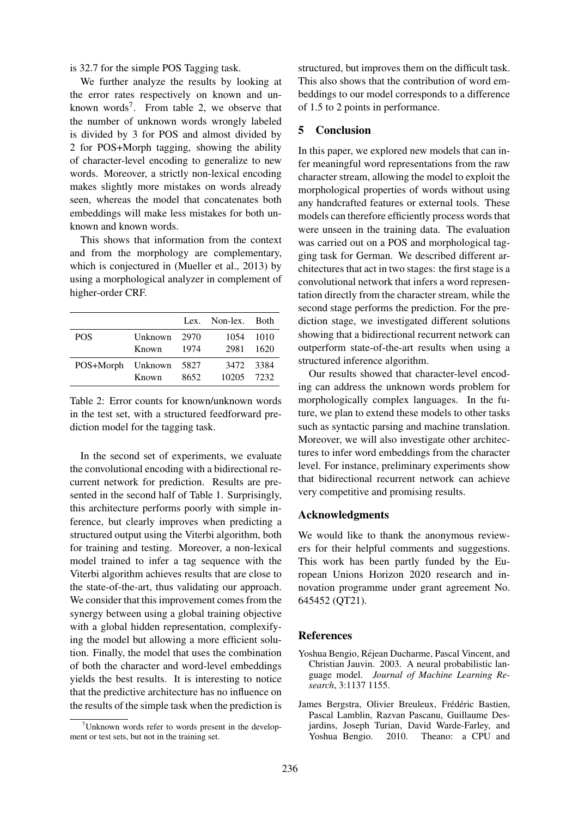is 32.7 for the simple POS Tagging task.

We further analyze the results by looking at the error rates respectively on known and unknown words<sup>7</sup>. From table 2, we observe that the number of unknown words wrongly labeled is divided by 3 for POS and almost divided by 2 for POS+Morph tagging, showing the ability of character-level encoding to generalize to new words. Moreover, a strictly non-lexical encoding makes slightly more mistakes on words already seen, whereas the model that concatenates both embeddings will make less mistakes for both unknown and known words.

This shows that information from the context and from the morphology are complementary, which is conjectured in (Mueller et al., 2013) by using a morphological analyzer in complement of higher-order CRF.

|                   |                       |              | Lex. Non-lex. Both      |                     |
|-------------------|-----------------------|--------------|-------------------------|---------------------|
| <b>POS</b>        | Unknown 2970<br>Known | 1974         | 2981                    | 1054 1010<br>- 1620 |
| POS+Morph Unknown | Known                 | 5827<br>8652 | 3472 3384<br>10205 7232 |                     |

Table 2: Error counts for known/unknown words in the test set, with a structured feedforward prediction model for the tagging task.

In the second set of experiments, we evaluate the convolutional encoding with a bidirectional recurrent network for prediction. Results are presented in the second half of Table 1. Surprisingly, this architecture performs poorly with simple inference, but clearly improves when predicting a structured output using the Viterbi algorithm, both for training and testing. Moreover, a non-lexical model trained to infer a tag sequence with the Viterbi algorithm achieves results that are close to the state-of-the-art, thus validating our approach. We consider that this improvement comes from the synergy between using a global training objective with a global hidden representation, complexifying the model but allowing a more efficient solution. Finally, the model that uses the combination of both the character and word-level embeddings yields the best results. It is interesting to notice that the predictive architecture has no influence on the results of the simple task when the prediction is structured, but improves them on the difficult task. This also shows that the contribution of word embeddings to our model corresponds to a difference of 1.5 to 2 points in performance.

#### 5 Conclusion

In this paper, we explored new models that can infer meaningful word representations from the raw character stream, allowing the model to exploit the morphological properties of words without using any handcrafted features or external tools. These models can therefore efficiently process words that were unseen in the training data. The evaluation was carried out on a POS and morphological tagging task for German. We described different architectures that act in two stages: the first stage is a convolutional network that infers a word representation directly from the character stream, while the second stage performs the prediction. For the prediction stage, we investigated different solutions showing that a bidirectional recurrent network can outperform state-of-the-art results when using a structured inference algorithm.

Our results showed that character-level encoding can address the unknown words problem for morphologically complex languages. In the future, we plan to extend these models to other tasks such as syntactic parsing and machine translation. Moreover, we will also investigate other architectures to infer word embeddings from the character level. For instance, preliminary experiments show that bidirectional recurrent network can achieve very competitive and promising results.

# Acknowledgments

We would like to thank the anonymous reviewers for their helpful comments and suggestions. This work has been partly funded by the European Unions Horizon 2020 research and innovation programme under grant agreement No. 645452 (QT21).

#### References

- Yoshua Bengio, Rejean Ducharme, Pascal Vincent, and ´ Christian Jauvin. 2003. A neural probabilistic language model. *Journal of Machine Learning Research*, 3:1137 1155.
- James Bergstra, Olivier Breuleux, Frédéric Bastien, Pascal Lamblin, Razvan Pascanu, Guillaume Desjardins, Joseph Turian, David Warde-Farley, and Yoshua Bengio. 2010. Theano: a CPU and

 $7$ Unknown words refer to words present in the development or test sets, but not in the training set.